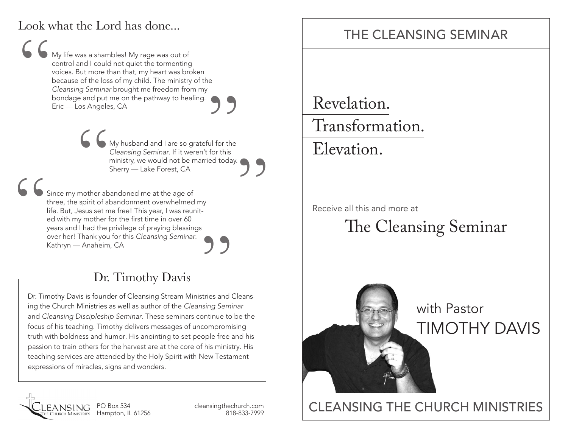#### Look what the Lord has done...

My life was a shambles! My rage was out of control and I could not quiet the tormenting voices. But more than that, my heart was broken because of the loss of my child. The ministry of the *Cleansing Seminar* brought me freedom from my bondage and put me on the pathway to healing. Eric — Los Angeles, CA "

Since my mother abandoned me at the age of<br>Since my mother abandoned me at the age of<br>Since my mother abandoned me at the age of My husband and I are so grateful for the *Cleansing Seminar*. If it weren't for this ministry, we would not be married today. **99**<br>
Sul for the<br>
for this<br>
ed today

over her! Thank you for this *Cleansing Seminar.*<br>
Kathryn — Anaheim, CA<br> **Dr. Timothy Davis — Stream Ministries and Cleans-**<br>
Dr. Timothy Davis is founder of Cleansing Stream Ministries and Cleansthree, the spirit of abandonment overwhelmed my life. But, Jesus set me free! This year, I was reunited with my mother for the first time in over 60 years and I had the privilege of praying blessings over her! Thank you for this *Cleansing Seminar*. Kathryn — Anaheim, CA " Clearly Semman: In the Welett Forms<br>
ministry, we would not be married today.<br>
Sherry — Lake Forest, CA<br>
aandoned me at the age of<br>
bandonment overwhelmed my<br>
ie free! This year, I was reunit-<br>
for the first time in over 6

### Dr. Timothy Davis

ing the Church Ministries as well as author of the *Cleansing Seminar* and *Cleansing Discipleship Seminar*. These seminars continue to be the focus of his teaching. Timothy delivers messages of uncompromising truth with boldness and humor. His anointing to set people free and his passion to train others for the harvest are at the core of his ministry. His teaching services are attended by the Holy Spirit with New Testament expressions of miracles, signs and wonders.



PO Box 534 cleansingthechurch.com

### THE CLEANSING SEMINAR

Revelation.

Transformation.

Elevation.

Receive all this and more at

# The Cleansing Seminar



## PO Box 534 cleansing the church.com **CLEANSING THE CHURCH MINISTRIES**